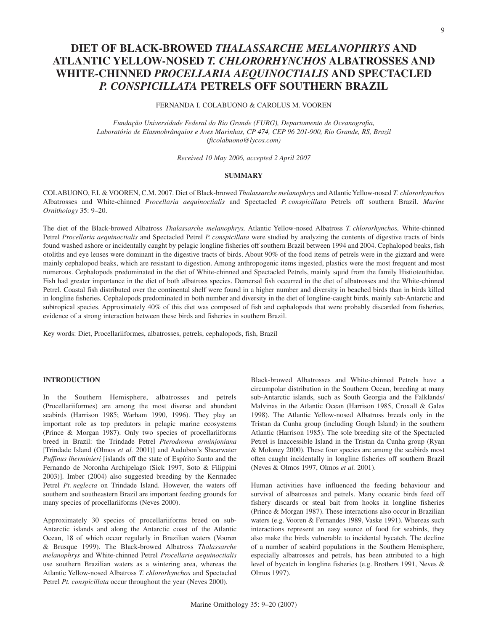# **DIET OF BLACK-BROWED** *THALASSARCHE MELANOPHRYS* **AND ATLANTIC YELLOW-NOSED** *T. CHLORORHYNCHOS* **ALBATROSSES AND WHITE-CHINNED** *PROCELLARIA AEQUINOCTIALIS* **AND SPECTACLED**  *P. CONSPICILLATA* **PETRELS OFF SOUTHERN BRAZIL**

FERNANDA I. COLABUONO & CAROLUS M. VOOREN

*Fundação Universidade Federal do Rio Grande (FURG), Departamento de Oceanografia, Laboratório de Elasmobrânquios e Aves Marinhas, CP 474, CEP 96 201-900, Rio Grande, RS, Brazil (ficolabuono@lycos.com)*

*Received 10 May 2006, accepted 2 April 2007*

# **SUMMARY**

COLABUONO, F.I. & VOOREN, C.M. 2007. Diet of Black-browed *Thalassarche melanophrys* and Atlantic Yellow-nosed *T. chlororhynchos* Albatrosses and White-chinned *Procellaria aequinoctialis* and Spectacled *P. conspicillata* Petrels off southern Brazil. *Marine Ornithology* 35: 9–20.

The diet of the Black-browed Albatross *Thalassarche melanophrys,* Atlantic Yellow-nosed Albatross *T. chlororhynchos,* White-chinned Petrel *Procellaria aequinoctialis* and Spectacled Petrel *P. conspicillata* were studied by analyzing the contents of digestive tracts of birds found washed ashore or incidentally caught by pelagic longline fisheries off southern Brazil between 1994 and 2004. Cephalopod beaks, fish otoliths and eye lenses were dominant in the digestive tracts of birds. About 90% of the food items of petrels were in the gizzard and were mainly cephalopod beaks, which are resistant to digestion. Among anthropogenic items ingested, plastics were the most frequent and most numerous. Cephalopods predominated in the diet of White-chinned and Spectacled Petrels, mainly squid from the family Histioteuthidae. Fish had greater importance in the diet of both albatross species. Demersal fish occurred in the diet of albatrosses and the White-chinned Petrel. Coastal fish distributed over the continental shelf were found in a higher number and diversity in beached birds than in birds killed in longline fisheries. Cephalopods predominated in both number and diversity in the diet of longline-caught birds, mainly sub-Antarctic and subtropical species. Approximately 40% of this diet was composed of fish and cephalopods that were probably discarded from fisheries, evidence of a strong interaction between these birds and fisheries in southern Brazil.

Key words: Diet, Procellariiformes, albatrosses, petrels, cephalopods, fish, Brazil

# **INTRODUCTION**

In the Southern Hemisphere, albatrosses and petrels (Procellariiformes) are among the most diverse and abundant seabirds (Harrison 1985; Warham 1990, 1996). They play an important role as top predators in pelagic marine ecosystems (Prince & Morgan 1987). Only two species of procellariiforms breed in Brazil: the Trindade Petrel *Pterodroma arminjoniana* [Trindade Island (Olmos *et al.* 2001)] and Audubon's Shearwater *Puffinus lherminieri* [islands off the state of Espírito Santo and the Fernando de Noronha Archipelago (Sick 1997, Soto & Filippini 2003)]. Imber (2004) also suggested breeding by the Kermadec Petrel *Pt. neglecta* on Trindade Island. However, the waters off southern and southeastern Brazil are important feeding grounds for many species of procellariiforms (Neves 2000).

Approximately 30 species of procellariiforms breed on sub-Antarctic islands and along the Antarctic coast of the Atlantic Ocean, 18 of which occur regularly in Brazilian waters (Vooren & Brusque 1999). The Black-browed Albatross *Thalassarche melanophrys* and White-chinned Petrel *Procellaria aequinoctialis* use southern Brazilian waters as a wintering area, whereas the Atlantic Yellow-nosed Albatross *T. chlororhynchos* and Spectacled Petrel *Pt. conspicillata* occur throughout the year (Neves 2000).

Black-browed Albatrosses and White-chinned Petrels have a circumpolar distribution in the Southern Ocean, breeding at many sub-Antarctic islands, such as South Georgia and the Falklands/ Malvinas in the Atlantic Ocean (Harrison 1985, Croxall & Gales 1998). The Atlantic Yellow-nosed Albatross breeds only in the Tristan da Cunha group (including Gough Island) in the southern Atlantic (Harrison 1985). The sole breeding site of the Spectacled Petrel is Inaccessible Island in the Tristan da Cunha group (Ryan & Moloney 2000). These four species are among the seabirds most often caught incidentally in longline fisheries off southern Brazil (Neves & Olmos 1997, Olmos *et al.* 2001).

Human activities have influenced the feeding behaviour and survival of albatrosses and petrels. Many oceanic birds feed off fishery discards or steal bait from hooks in longline fisheries (Prince & Morgan 1987). These interactions also occur in Brazilian waters (e.g. Vooren & Fernandes 1989, Vaske 1991). Whereas such interactions represent an easy source of food for seabirds, they also make the birds vulnerable to incidental bycatch. The decline of a number of seabird populations in the Southern Hemisphere, especially albatrosses and petrels, has been attributed to a high level of bycatch in longline fisheries (e.g. Brothers 1991, Neves & Olmos 1997).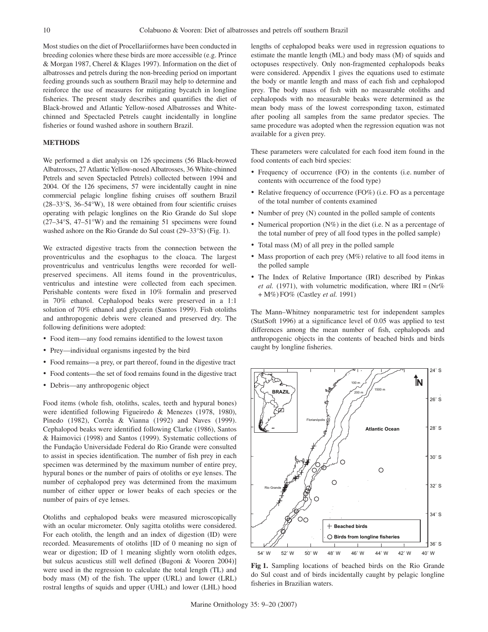Most studies on the diet of Procellariiformes have been conducted in breeding colonies where these birds are more accessible (e.g. Prince & Morgan 1987, Cherel & Klages 1997). Information on the diet of albatrosses and petrels during the non-breeding period on important feeding grounds such as southern Brazil may help to determine and reinforce the use of measures for mitigating bycatch in longline fisheries. The present study describes and quantifies the diet of Black-browed and Atlantic Yellow-nosed Albatrosses and Whitechinned and Spectacled Petrels caught incidentally in longline fisheries or found washed ashore in southern Brazil.

#### **METHODS**

We performed a diet analysis on 126 specimens (56 Black-browed Albatrosses, 27 Atlantic Yellow-nosed Albatrosses, 36 White-chinned Petrels and seven Spectacled Petrels) collected between 1994 and 2004. Of the 126 specimens, 57 were incidentally caught in nine commercial pelagic longline fishing cruises off southern Brazil (28–33°S, 36–54°W), 18 were obtained from four scientific cruises operating with pelagic longlines on the Rio Grande do Sul slope (27–34°S, 47–51°W) and the remaining 51 specimens were found washed ashore on the Rio Grande do Sul coast (29–33°S) (Fig. 1).

We extracted digestive tracts from the connection between the proventriculus and the esophagus to the cloaca. The largest proventriculus and ventriculus lengths were recorded for wellpreserved specimens. All items found in the proventriculus, ventriculus and intestine were collected from each specimen. Perishable contents were fixed in 10% formalin and preserved in 70% ethanol. Cephalopod beaks were preserved in a 1:1 solution of 70% ethanol and glycerin (Santos 1999). Fish otoliths and anthropogenic debris were cleaned and preserved dry. The following definitions were adopted:

- • Food item—any food remains identified to the lowest taxon
- Prey—individual organisms ingested by the bird
- Food remains—a prey, or part thereof, found in the digestive tract
- Food contents—the set of food remains found in the digestive tract
- • Debris—any anthropogenic object

Food items (whole fish, otoliths, scales, teeth and hypural bones) were identified following Figueiredo & Menezes (1978, 1980), Pinedo (1982), Corrêa & Vianna (1992) and Naves (1999). Cephalopod beaks were identified following Clarke (1986), Santos & Haimovici (1998) and Santos (1999). Systematic collections of the Fundação Universidade Federal do Rio Grande were consulted to assist in species identification. The number of fish prey in each specimen was determined by the maximum number of entire prey, hypural bones or the number of pairs of otoliths or eye lenses. The number of cephalopod prey was determined from the maximum number of either upper or lower beaks of each species or the number of pairs of eye lenses.

Otoliths and cephalopod beaks were measured microscopically with an ocular micrometer. Only sagitta otoliths were considered. For each otolith, the length and an index of digestion (ID) were recorded. Measurements of otoliths [ID of 0 meaning no sign of wear or digestion; ID of 1 meaning slightly worn otolith edges, but sulcus acusticus still well defined (Bugoni & Vooren 2004)] were used in the regression to calculate the total length (TL) and body mass (M) of the fish. The upper (URL) and lower (LRL) rostral lengths of squids and upper (UHL) and lower (LHL) hood lengths of cephalopod beaks were used in regression equations to estimate the mantle length (ML) and body mass (M) of squids and octopuses respectively. Only non-fragmented cephalopods beaks were considered. Appendix 1 gives the equations used to estimate the body or mantle length and mass of each fish and cephalopod prey. The body mass of fish with no measurable otoliths and cephalopods with no measurable beaks were determined as the mean body mass of the lowest corresponding taxon, estimated after pooling all samples from the same predator species. The same procedure was adopted when the regression equation was not available for a given prey.

These parameters were calculated for each food item found in the food contents of each bird species:

- Frequency of occurrence (FO) in the contents (i.e. number of contents with occurrence of the food type)
- Relative frequency of occurrence (FO%) (i.e. FO as a percentage of the total number of contents examined
- Number of prey (N) counted in the polled sample of contents
- Numerical proportion  $(N\%)$  in the diet (i.e. N as a percentage of the total number of prey of all food types in the polled sample)
- Total mass (M) of all prey in the polled sample
- Mass proportion of each prey  $(M\%)$  relative to all food items in the polled sample
- The Index of Relative Importance (IRI) described by Pinkas *et al.* (1971), with volumetric modification, where  $IRI = (Nr\%$ + M%) FO% (Castley *et al.* 1991)

The Mann–Whitney nonparametric test for independent samples (StatSoft 1996) at a significance level of 0.05 was applied to test differences among the mean number of fish, cephalopods and anthropogenic objects in the contents of beached birds and birds caught by longline fisheries.



**Fig 1.** Sampling locations of beached birds on the Rio Grande do Sul coast and of birds incidentally caught by pelagic longline fisheries in Brazilian waters.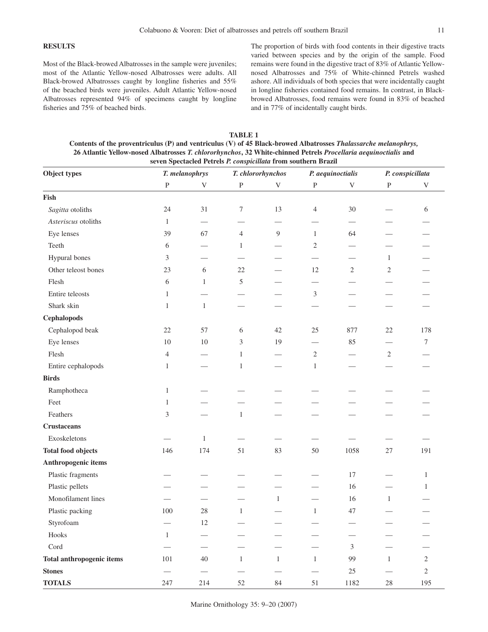# **RESULTS**

Most of the Black-browed Albatrosses in the sample were juveniles; most of the Atlantic Yellow-nosed Albatrosses were adults. All Black-browed Albatrosses caught by longline fisheries and 55% of the beached birds were juveniles. Adult Atlantic Yellow-nosed Albatrosses represented 94% of specimens caught by longline fisheries and 75% of beached birds.

The proportion of birds with food contents in their digestive tracts varied between species and by the origin of the sample. Food remains were found in the digestive tract of 83% of Atlantic Yellownosed Albatrosses and 75% of White-chinned Petrels washed ashore. All individuals of both species that were incidentally caught in longline fisheries contained food remains. In contrast, in Blackbrowed Albatrosses, food remains were found in 83% of beached and in 77% of incidentally caught birds.

| TABLE 1                                                                                                         |
|-----------------------------------------------------------------------------------------------------------------|
| Contents of the proventriculus (P) and ventriculus (V) of 45 Black-browed Albatrosses Thalassarche melanophrys, |
| 26 Atlantic Yellow-nosed Albatrosses T. chlororhynchos, 32 White-chinned Petrels Procellaria aequinoctialis and |
| seven Spectacled Petrels P. conspicillata from southern Brazil                                                  |

| Object types                     |                | T. melanophrys |                | T. chlororhynchos         |                | P. aequinoctialis         | P. conspicillata |                |
|----------------------------------|----------------|----------------|----------------|---------------------------|----------------|---------------------------|------------------|----------------|
|                                  | ${\bf P}$      | $\mathbf V$    | $\, {\bf P}$   | $\ensuremath{\mathbf{V}}$ | ${\bf P}$      | $\ensuremath{\mathbf{V}}$ | ${\bf P}$        | V              |
| Fish                             |                |                |                |                           |                |                           |                  |                |
| Sagitta otoliths                 | 24             | 31             | 7              | 13                        | $\overline{4}$ | 30                        |                  | 6              |
| Asteriscus otoliths              | $\mathbf{1}$   |                |                |                           |                | $\overline{\phantom{0}}$  |                  |                |
| Eye lenses                       | 39             | 67             | $\overline{4}$ | 9                         | 1              | 64                        |                  |                |
| Teeth                            | 6              |                | 1              |                           | $\overline{2}$ |                           |                  |                |
| Hypural bones                    | 3              |                |                |                           |                |                           | 1                |                |
| Other teleost bones              | 23             | 6              | 22             |                           | 12             | 2                         | $\sqrt{2}$       |                |
| Flesh                            | 6              | 1              | 5              |                           |                |                           |                  |                |
| Entire teleosts                  | $\mathbf{1}$   |                |                |                           | $\mathfrak z$  |                           |                  |                |
| Shark skin                       | $\mathbf{1}$   | $\mathbf{1}$   |                |                           |                |                           |                  |                |
| Cephalopods                      |                |                |                |                           |                |                           |                  |                |
| Cephalopod beak                  | $22\,$         | 57             | 6              | $42\,$                    | 25             | 877                       | $22\,$           | 178            |
| Eye lenses                       | 10             | $10\,$         | 3              | 19                        |                | 85                        |                  | 7              |
| Flesh                            | 4              |                | $\mathbf{1}$   | $\overline{\phantom{0}}$  | $\overline{2}$ |                           | $\sqrt{2}$       |                |
| Entire cephalopods               | $\mathbf{1}$   |                | $\mathbf{1}$   |                           | $\mathbf{1}$   |                           |                  |                |
| <b>Birds</b>                     |                |                |                |                           |                |                           |                  |                |
| Ramphotheca                      | $\mathbf{1}$   |                |                |                           |                |                           |                  |                |
| Feet                             | 1              |                |                |                           |                |                           |                  |                |
| Feathers                         | $\mathfrak{Z}$ |                | $\mathbf{1}$   |                           |                |                           |                  |                |
| <b>Crustaceans</b>               |                |                |                |                           |                |                           |                  |                |
| Exoskeletons                     |                | $\mathbf{1}$   |                |                           |                |                           |                  |                |
| <b>Total food objects</b>        | 146            | 174            | 51             | 83                        | 50             | 1058                      | $27\,$           | 191            |
| Anthropogenic items              |                |                |                |                           |                |                           |                  |                |
| Plastic fragments                |                |                |                |                           |                | $17\,$                    |                  | 1              |
| Plastic pellets                  |                |                |                |                           |                | 16                        |                  | 1              |
| Monofilament lines               |                |                |                | $\mathbf{1}$              |                | 16                        | $\mathbf{1}$     |                |
| Plastic packing                  | 100            | 28             | $\mathbf{1}$   |                           | $\mathbf{1}$   | 47                        |                  |                |
| Styrofoam                        |                | 12             |                |                           |                |                           |                  |                |
| Hooks                            | $\mathbf{1}$   |                |                |                           |                |                           |                  |                |
| $\mathop{\mathrm{Cord}}$         |                |                |                |                           |                | $\mathfrak{Z}$            |                  |                |
| <b>Total anthropogenic items</b> | $101\,$        | 40             | $\mathbf{1}$   | $\mathbf{1}$              | $\mathbf{1}$   | 99                        | $\mathbf{1}$     | $\overline{2}$ |
| <b>Stones</b>                    |                |                |                |                           |                | $25\,$                    |                  | $\overline{c}$ |
| <b>TOTALS</b>                    | 247            | 214            | 52             | $\rm 84$                  | 51             | 1182                      | $28\,$           | 195            |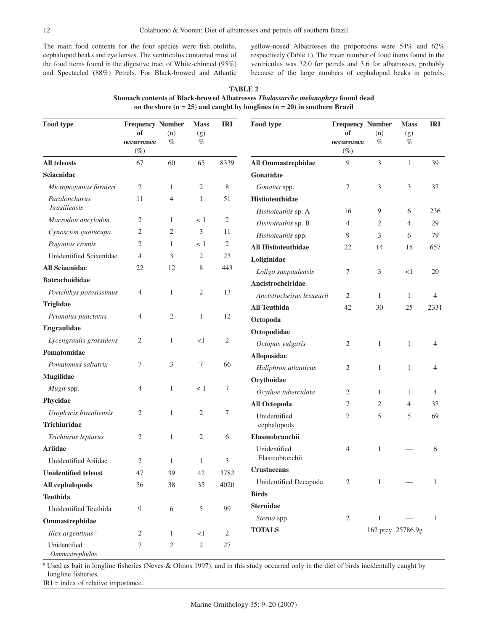The main food contents for the four species were fish otoliths, cephalopod beaks and eye lenses. The ventriculus contained most of the food items found in the digestive tract of White-chinned (95%) and Spectacled (88%) Petrels. For Black-browed and Atlantic

yellow-nosed Albatrosses the proportions were 54% and 62% respectively (Table 1). The mean number of food items found in the ventriculus was 32.0 for petrels and 3.6 for albatrosses, probably because of the large numbers of cephalopod beaks in petrels,

| Food type                            | <b>Frequency Number</b><br>of<br>occurrence<br>$(\%)$ | (n)<br>$\%$    | <b>Mass</b><br>(g)<br>$\%$ | <b>IRI</b> | Food type                              | <b>Frequency Number</b><br>of<br>occurrence<br>$(\%)$ | (n)<br>$\%$       | <b>Mass</b><br>(g)<br>$\%$ | <b>IRI</b>   |
|--------------------------------------|-------------------------------------------------------|----------------|----------------------------|------------|----------------------------------------|-------------------------------------------------------|-------------------|----------------------------|--------------|
| All teleosts                         | 67                                                    | 60             | 65                         | 8339       | All Ommastrephidae                     | 9                                                     | 3                 | $\mathbf{1}$               | 39           |
| Sciaenidae                           |                                                       |                |                            |            | Gonatidae                              |                                                       |                   |                            |              |
| Micropogonias furnieri               | 2                                                     | 1              | 2                          | 8          | Gonatus spp.                           | 7                                                     | 3                 | 3                          | 37           |
| Paralonchurus<br><i>brasiliensis</i> | 11                                                    | 4              | $\mathbf{1}$               | 51         | Histioteuthidae<br>Histioteuthis sp. A | 16                                                    | 9                 | 6                          | 236          |
| Macrodon ancylodon                   | 2                                                     | 1              | < 1                        | 2          | Histioteuthis sp. B                    | 4                                                     | 2                 | $\overline{4}$             | 29           |
| Cynoscion guatucupa                  | $\overline{c}$                                        | 2              | 3                          | 11         | Histioteuthis spp.                     | 9                                                     | 3                 | 6                          | 79           |
| Pogonias cromis                      | 2                                                     | 1              | < 1                        | 2          | <b>All Histioteuthidae</b>             | 22                                                    | 14                | 15                         | 657          |
| Unidentified Sciaenidae              | $\overline{4}$                                        | 3              | 2                          | 23         | Loliginidae                            |                                                       |                   |                            |              |
| <b>All Sciaenidae</b>                | 22                                                    | 12             | 8                          | 443        | Loligo sanpaulensis                    | 7                                                     | 3                 | <1                         | 20           |
| <b>Batrachoididae</b>                |                                                       |                |                            |            | Ancistrocheiridae                      |                                                       |                   |                            |              |
| Porichthys porosissimus              | 4                                                     | 1              | 2                          | 13         | Ancistrocheirus lesueurii              | 2                                                     | 1                 | 1                          | 4            |
| <b>Triglidae</b>                     |                                                       |                |                            |            | <b>All Teuthida</b>                    | 42                                                    | 30                | 25                         | 2331         |
| Prionotus punctatus                  | 4                                                     | 2              | $\mathbf{1}$               | 12         | Octopoda                               |                                                       |                   |                            |              |
| <b>Engraulidae</b>                   |                                                       |                |                            |            | Octopodidae                            |                                                       |                   |                            |              |
| Lycengraulis grossidens              | 2                                                     | 1              | <1                         | 2          | Octopus vulgaris                       | 2                                                     | $\mathbf{1}$      | $\mathbf{1}$               | 4            |
| Pomatomidae                          |                                                       |                |                            |            | Alloposidae                            |                                                       |                   |                            |              |
| Pomatomus saltatrix                  | 7                                                     | 3              | 7                          | 66         | Haliphron atlanticus                   | 2                                                     | 1                 | 1                          | 4            |
| <b>Mugilidae</b>                     |                                                       |                |                            |            | Ocythoidae                             |                                                       |                   |                            |              |
| Mugil spp.                           | 4                                                     | 1              | < 1                        | 7          | Ocythoe tuberculata                    | $\overline{c}$                                        | $\mathbf{1}$      | 1                          | 4            |
| Phycidae                             |                                                       |                |                            |            | All Octopoda                           | 7                                                     | 2                 | $\overline{4}$             | 37           |
| Urophycis brasiliensis               | 2                                                     | 1              | $\overline{2}$             | 7          | Unidentified                           | 7                                                     | 5                 | 5                          | 69           |
| <b>Trichiuridae</b>                  |                                                       |                |                            |            | cephalopods                            |                                                       |                   |                            |              |
| Trichiurus lepturus                  | 2                                                     | 1              | 2                          | 6          | Elasmobranchii                         |                                                       |                   |                            |              |
| <b>Ariidae</b>                       |                                                       |                |                            |            | Unidentified                           | $\overline{4}$                                        | 1                 |                            | 6            |
| Unidentified Ariidae                 | 2                                                     | 1              | $\mathbf{1}$               | 3          | Elasmobranchii                         |                                                       |                   |                            |              |
| <b>Unidentified teleost</b>          | 47                                                    | 39             | $42\,$                     | 3782       | <b>Crustaceans</b>                     |                                                       |                   |                            |              |
| All cephalopods                      | 56                                                    | 38             | 35                         | 4020       | Unidentified Decapoda                  | $\overline{2}$                                        | $\mathbf{1}$      |                            | $\mathbf{1}$ |
| <b>Teuthida</b>                      |                                                       |                |                            |            | <b>Birds</b>                           |                                                       |                   |                            |              |
| Unidentified Teuthida                | 9                                                     | $\sqrt{6}$     | 5                          | 99         | <b>Sternidae</b>                       |                                                       |                   |                            |              |
| Ommastrephidae                       |                                                       |                |                            |            | Sterna spp.                            | 2                                                     | 1                 |                            | $\mathbf{1}$ |
| Illex argentinus <sup>a</sup>        | 2                                                     | 1              | $<\!1$                     | $\sqrt{2}$ | <b>TOTALS</b>                          |                                                       | 162 prey 25786.9g |                            |              |
| Unidentified                         | 7                                                     | $\overline{c}$ | $\overline{c}$             | $27\,$     |                                        |                                                       |                   |                            |              |

**TABLE 2 Stomach contents of Black-browed Albatrosses** *Thalassarche melanophrys* **found dead on the shore (n = 25) and caught by longlines (n = 20) in southern Brazil** 

<sup>a</sup> Used as bait in longline fisheries (Neves & Olmos 1997), and in this study occurred only in the diet of birds incidentally caught by longline fisheries.

IRI = index of relative importance.

*Ommastrephidae*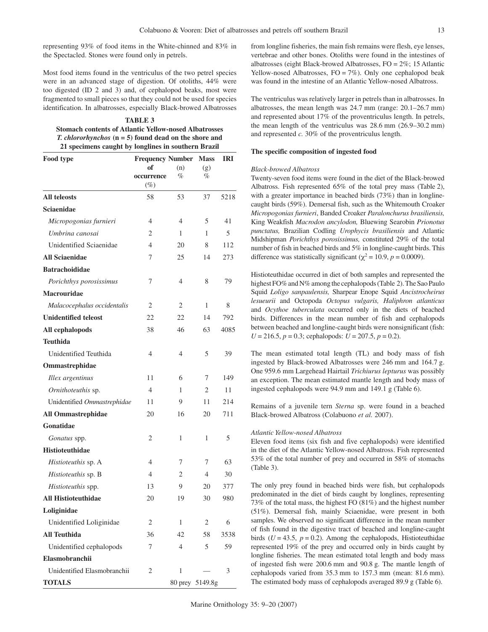representing 93% of food items in the White-chinned and 83% in the Spectacled. Stones were found only in petrels.

Most food items found in the ventriculus of the two petrel species were in an advanced stage of digestion. Of otoliths, 44% were too digested (ID 2 and 3) and, of cephalopod beaks, most were fragmented to small pieces so that they could not be used for species identification. In albatrosses, especially Black-browed Albatrosses

| <b>TABLE 3</b>                                                 |
|----------------------------------------------------------------|
| <b>Stomach contents of Atlantic Yellow-nosed Albatrosses</b>   |
| <i>T. chlororhynchos</i> $(n = 5)$ found dead on the shore and |
| 21 specimens caught by longlines in southern Brazil            |

| Food type                   | <b>Frequency Number</b><br><b>Mass</b> |     |                 |      |  |  |  |  |  |
|-----------------------------|----------------------------------------|-----|-----------------|------|--|--|--|--|--|
|                             | of                                     | (n) | (g)             |      |  |  |  |  |  |
|                             | occurrence<br>$(\%)$                   | %   | %               |      |  |  |  |  |  |
| <b>All teleosts</b>         | 58                                     | 53  | 37              | 5218 |  |  |  |  |  |
| Sciaenidae                  |                                        |     |                 |      |  |  |  |  |  |
| Micropogonias furnieri      | 4                                      | 4   | 5               | 41   |  |  |  |  |  |
| Umbrina canosai             | $\overline{2}$                         | 1   | 1               | 5    |  |  |  |  |  |
| Unidentified Sciaenidae     | 4                                      | 20  | 8               | 112  |  |  |  |  |  |
| <b>All Sciaenidae</b>       | 7                                      | 25  | 14              | 273  |  |  |  |  |  |
| <b>Batrachoididae</b>       |                                        |     |                 |      |  |  |  |  |  |
| Porichthys porosissimus     | 7                                      | 4   | 8               | 79   |  |  |  |  |  |
| <b>Macrouridae</b>          |                                        |     |                 |      |  |  |  |  |  |
| Malacocephalus occidentalis | 2                                      | 2   | 1               | 8    |  |  |  |  |  |
| <b>Unidentified teleost</b> | 22                                     | 22  | 14              | 792  |  |  |  |  |  |
| All cephalopods             | 38                                     | 46  | 63              | 4085 |  |  |  |  |  |
| <b>Teuthida</b>             |                                        |     |                 |      |  |  |  |  |  |
| Unidentified Teuthida       | 4                                      | 4   | 5               | 39   |  |  |  |  |  |
| Ommastrephidae              |                                        |     |                 |      |  |  |  |  |  |
| Illex argentinus            | 11                                     | 6   | 7               | 149  |  |  |  |  |  |
| Ornithoteuthis sp.          | 4                                      | 1   | 2               | 11   |  |  |  |  |  |
| Unidentified Ommastrephidae | 11                                     | 9   | 11              | 214  |  |  |  |  |  |
| <b>All Ommastrephidae</b>   | 20                                     | 16  | 20              | 711  |  |  |  |  |  |
| Gonatidae                   |                                        |     |                 |      |  |  |  |  |  |
| Gonatus spp.                | 2                                      | 1   | 1               | 5    |  |  |  |  |  |
| <b>Histioteuthidae</b>      |                                        |     |                 |      |  |  |  |  |  |
| Histioteuthis sp. A         | 4                                      | 7   | 7               | 63   |  |  |  |  |  |
| Histioteuthis sp. B         | 4                                      | 2   | 4               | 30   |  |  |  |  |  |
| Histioteuthis spp.          | 13                                     | 9   | 20              | 377  |  |  |  |  |  |
| <b>All Histioteuthidae</b>  | 20                                     | 19  | 30              | 980  |  |  |  |  |  |
| Loliginidae                 |                                        |     |                 |      |  |  |  |  |  |
| Unidentified Loliginidae    | 2                                      | 1   | 2               | 6    |  |  |  |  |  |
| <b>All Teuthida</b>         | 36                                     | 42  | 58              | 3538 |  |  |  |  |  |
| Unidentified cephalopods    | 7                                      | 4   | 5               | 59   |  |  |  |  |  |
| Elasmobranchii              |                                        |     |                 |      |  |  |  |  |  |
| Unidentified Elasmobranchii | 2                                      | 1   |                 | 3    |  |  |  |  |  |
| <b>TOTALS</b>               |                                        |     | 80 prey 5149.8g |      |  |  |  |  |  |

from longline fisheries, the main fish remains were flesh, eye lenses, vertebrae and other bones. Otoliths were found in the intestines of albatrosses (eight Black-browed Albatrosses, FO = 2%; 15 Atlantic Yellow-nosed Albatrosses,  $FO = 7\%$ ). Only one cephalopod beak was found in the intestine of an Atlantic Yellow-nosed Albatross.

The ventriculus was relatively larger in petrels than in albatrosses. In albatrosses, the mean length was 24.7 mm (range: 20.1–26.7 mm) and represented about 17% of the proventriculus length. In petrels, the mean length of the ventriculus was 28.6 mm (26.9–30.2 mm) and represented *c.* 30% of the proventriculus length.

### **The specific composition of ingested food**

#### *Black-browed Albatross*

Twenty-seven food items were found in the diet of the Black-browed Albatross. Fish represented 65% of the total prey mass (Table 2), with a greater importance in beached birds (73%) than in longlinecaught birds (59%). Demersal fish, such as the Whitemouth Croaker *Micropogonias furnieri*, Banded Croaker *Paralonchurus brasiliensis,* King Weakfish *Macrodon ancylodon,* Bluewing Searobin *Prionotus punctatus,* Brazilian Codling *Urophycis brasiliensis* and Atlantic Midshipman *Porichthys porosissimus,* constituted 29% of the total number of fish in beached birds and 5% in longline-caught birds. This difference was statistically significant ( $\chi^2$  = 10.9, *p* = 0.0009).

Histioteuthidae occurred in diet of both samples and represented the highest FO% and N% among the cephalopods (Table 2). The Sao Paulo Squid *Loligo sanpaulensis,* Sharpear Enope Squid *Ancistrocheirus lesueurii* and Octopoda *Octopus vulgaris, Haliphron atlanticus* and *Ocythoe tuberculata* occurred only in the diets of beached birds. Differences in the mean number of fish and cephalopods between beached and longline-caught birds were nonsignificant (fish:  $U = 216.5$ ,  $p = 0.3$ ; cephalopods:  $U = 207.5$ ,  $p = 0.2$ ).

The mean estimated total length (TL) and body mass of fish ingested by Black-browed Albatrosses were 246 mm and 164.7 g. One 959.6 mm Largehead Hairtail *Trichiurus lepturus* was possibly an exception. The mean estimated mantle length and body mass of ingested cephalopods were 94.9 mm and 149.1 g (Table 6).

Remains of a juvenile tern *Sterna* sp. were found in a beached Black-browed Albatross (Colabuono *et al.* 2007).

## *Atlantic Yellow-nosed Albatross*

Eleven food items (six fish and five cephalopods) were identified in the diet of the Atlantic Yellow-nosed Albatross. Fish represented 53% of the total number of prey and occurred in 58% of stomachs (Table 3).

The only prey found in beached birds were fish, but cephalopods predominated in the diet of birds caught by longlines, representing 73% of the total mass, the highest FO (81%) and the highest number (51%). Demersal fish, mainly Sciaenidae, were present in both samples. We observed no significant difference in the mean number of fish found in the digestive tract of beached and longline-caught birds ( $U = 43.5$ ,  $p = 0.2$ ). Among the cephalopods, Histioteuthidae represented 19% of the prey and occurred only in birds caught by longline fisheries. The mean estimated total length and body mass of ingested fish were 200.6 mm and 90.8 g. The mantle length of cephalopods varied from 35.3 mm to 157.3 mm (mean: 81.6 mm). The estimated body mass of cephalopods averaged 89.9 g (Table 6).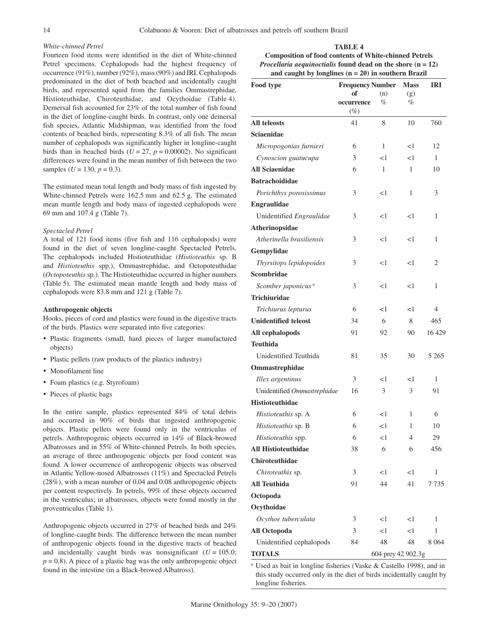# *White-chinned Petrel*

Fourteen food items were identified in the diet of White-chinned Petrel specimens. Cephalopods had the highest frequency of occurrence (91%), number (92%), mass (90%) and IRI. Cephalopods predominated in the diet of both beached and incidentally caught birds, and represented squid from the families Ommastrephidae, Histioteuthidae, Chiroteuthidae, and Ocythoidae (Table 4). Demersal fish accounted for 23% of the total number of fish found in the diet of longline-caught birds. In contrast, only one demersal fish species, Atlantic Midshipman, was identified from the food contents of beached birds, representing 8.3% of all fish. The mean number of cephalopods was significantly higher in longline-caught birds than in beached birds ( $U = 27$ ,  $p = 0.00002$ ). No significant differences were found in the mean number of fish between the two samples ( $U = 130$ ,  $p = 0.3$ ).

The estimated mean total length and body mass of fish ingested by White-chinned Petrels were 162.5 mm and 62.5 g. The estimated mean mantle length and body mass of ingested cephalopods were 69 mm and 107.4 g (Table 7).

#### *Spectacled Petrel*

A total of 121 food items (five fish and 116 cephalopods) were found in the diet of seven longline-caught Spectacled Petrels. The cephalopods included Histioteuthidae (*Histioteuthis* sp. B and *Histioteuthis* spp.), Ommastrephidae, and Octopoteuthidae (*Octopoteuthis* sp.). The Histioteuthidae occurred in higher numbers (Table 5). The estimated mean mantle length and body mass of cephalopods were 83.8 mm and 121 g (Table 7).

#### **Anthropogenic objects**

Hooks, pieces of cord and plastics were found in the digestive tracts of the birds. Plastics were separated into five categories:

- • Plastic fragments (small, hard pieces of larger manufactured objects)
- Plastic pellets (raw products of the plastics industry)
- Monofilament line
- • Foam plastics (e.g. Styrofoam)
- • Pieces of plastic bags

In the entire sample, plastics represented 84% of total debris and occurred in 90% of birds that ingested anthropogenic objects. Plastic pellets were found only in the ventriculus of petrels. Anthropogenic objects occurred in 14% of Black-browed Albatrosses and in 55% of White-chinned Petrels. In both species, an average of three anthropogenic objects per food content was found. A lower occurrence of anthropogenic objects was observed in Atlantic Yellow-nosed Albatrosses (11%) and Spectacled Petrels (28%), with a mean number of 0.04 and 0.08 anthropogenic objects per content respectively. In petrels, 99% of these objects occurred in the ventriculus; in albatrosses, objects were found mostly in the proventriculus (Table 1).

Anthropogenic objects occurred in 27% of beached birds and 24% of longline-caught birds. The difference between the mean number of anthropogenic objects found in the digestive tracts of beached and incidentally caught birds was nonsignificant  $(U = 105.0;$  $p = 0.8$ ). A piece of a plastic bag was the only anthropogenic object found in the intestine (in a Black-browed Albatross).

**Composition of food contents of White-chinned Petrels**  *Procellaria aequinoctialis* **found dead on the shore (n = 12) and caught by longlines (n = 20) in southern Brazil**

**TABLE 4**

| Food type                      | <b>Frequency Number</b> | <b>Mass</b>        | <b>IRI</b> |         |  |
|--------------------------------|-------------------------|--------------------|------------|---------|--|
|                                | of                      | (n)                | (g)        |         |  |
|                                | occurrence              | %                  | %          |         |  |
| <b>All teleosts</b>            | $(\%)$<br>41            | 8                  | 10         | 760     |  |
| <b>Sciaenidae</b>              |                         |                    |            |         |  |
| Micropogonias furnieri         | 6                       | 1                  | $<$ l      | 12      |  |
| Cynoscion guatucupa            | 3                       | $<$ l              | $<$ 1      | 1       |  |
| <b>All Sciaenidae</b>          | 6                       | 1                  | 1          | 10      |  |
| <b>Batrachoididae</b>          |                         |                    |            |         |  |
| Porichthys porosissimus        | 3                       | $<$ l              | 1          | 3       |  |
| <b>Engraulidae</b>             |                         |                    |            |         |  |
| Unidentified Engraulidae       | 3                       | <1                 | <1         | 1       |  |
| Atherinopsidae                 |                         |                    |            |         |  |
| Atherinella brasiliensis       | 3                       | $<$ l              | $<$ 1      | 1       |  |
| Gempylidae                     |                         |                    |            |         |  |
| Thyrsitops lepidopoides        | 3                       | $<$ l              | $<$ l      | 2       |  |
| <b>Scombridae</b>              |                         |                    |            |         |  |
| Scomber japonicus <sup>a</sup> | 3                       | $<$ l              | <1         | 1       |  |
| <b>Trichiuridae</b>            |                         |                    |            |         |  |
| Trichiurus lepturus            | 6                       | $<$ l              | $<$ l      | 4       |  |
| <b>Unidentified teleost</b>    | 34                      | 6                  | 8          | 465     |  |
| All cephalopods                | 91                      | 92                 | 90         | 16429   |  |
| <b>Teuthida</b>                |                         |                    |            |         |  |
| Unidentified Teuthida          | 81                      | 35                 | 30         | 5 2 6 5 |  |
| Ommastrephidae                 |                         |                    |            |         |  |
| Illex argentinus               | 3                       | $<$ l              | <1         | 1       |  |
| Unidentified Ommastrephidae    | 16                      | 3                  | 3          | 91      |  |
| <b>Histioteuthidae</b>         |                         |                    |            |         |  |
| Histioteuthis sp. A            | 6                       | $<$ l              | 1          | 6       |  |
| Histioteuthis sp. B            | 6                       | $<$ l              | 1          | 10      |  |
| <i>Histioteuthis</i> spp.      | 6                       | <1                 | 4          | 29      |  |
| <b>All Histioteuthidae</b>     | 38                      | 6                  | 6          | 456     |  |
| <b>Chiroteuthidae</b>          |                         |                    |            |         |  |
| Chiroteuthis sp.               | 3                       | $<$ l              | $<$ l      | 1       |  |
| <b>All Teuthida</b>            | 91                      | 44                 | 41         | 7 735   |  |
| Octopoda                       |                         |                    |            |         |  |
| Ocythoidae                     |                         |                    |            |         |  |
| Ocythoe tuberculata            | 3                       | $<$ l              | $<$ l      | 1       |  |
| <b>All Octopoda</b>            | 3                       | $\leq$ 1           | $<$ 1      | 1       |  |
| Unidentified cephalopods       | 84                      | 48                 | 48         | 8 0 6 4 |  |
| <b>TOTALS</b>                  |                         | 604 prey 42 902.3g |            |         |  |

<sup>a</sup> Used as bait in longline fisheries (Vaske & Castello 1998), and in this study occurred only in the diet of birds incidentally caught by longline fisheries.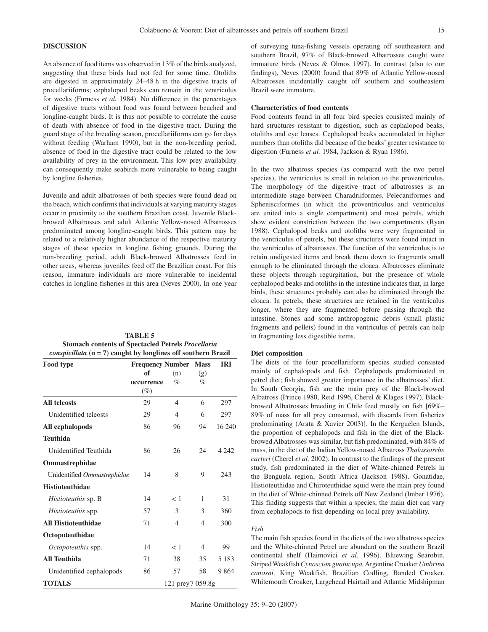## **DISCUSSION**

An absence of food items was observed in 13% of the birds analyzed, suggesting that these birds had not fed for some time. Otoliths are digested in approximately 24–48 h in the digestive tracts of procellariiforms; cephalopod beaks can remain in the ventriculus for weeks (Furness *et al.* 1984). No difference in the percentages of digestive tracts without food was found between beached and longline-caught birds. It is thus not possible to correlate the cause of death with absence of food in the digestive tract. During the guard stage of the breeding season, procellariiforms can go for days without feeding (Warham 1990), but in the non-breeding period, absence of food in the digestive tract could be related to the low availability of prey in the environment. This low prey availability can consequently make seabirds more vulnerable to being caught by longline fisheries.

Juvenile and adult albatrosses of both species were found dead on the beach, which confirms that individuals at varying maturity stages occur in proximity to the southern Brazilian coast. Juvenile Blackbrowed Albatrosses and adult Atlantic Yellow-nosed Albatrosses predominated among longline-caught birds. This pattern may be related to a relatively higher abundance of the respective maturity stages of these species in longline fishing grounds. During the non-breeding period, adult Black-browed Albatrosses feed in other areas, whereas juveniles feed off the Brazilian coast. For this reason, immature individuals are more vulnerable to incidental catches in longline fisheries in this area (Neves 2000). In one year

| Food type                   | <b>Frequency Number</b> |                   | <b>Mass</b> | <b>IRI</b> |
|-----------------------------|-------------------------|-------------------|-------------|------------|
|                             | of                      | (n)               | (g)         |            |
|                             | occurrence              | %                 | $\%$        |            |
|                             | $(\%)$                  |                   |             |            |
| <b>All teleosts</b>         | 29                      | $\overline{4}$    | 6           | 297        |
| Unidentified teleosts       | 29                      | $\overline{4}$    | 6           | 297        |
| All cephalopods             | 86                      | 96                | 94          | 16 240     |
| <b>Teuthida</b>             |                         |                   |             |            |
| Unidentified Teuthida       | 86                      | 26                | 24          | 4 2 4 2    |
| <b>Ommastrephidae</b>       |                         |                   |             |            |
| Unidentified Ommastrephidae | 14                      | 8                 | 9           | 243        |
| <b>Histioteuthidae</b>      |                         |                   |             |            |
| <i>Histioteuthis</i> sp. B  | 14                      | < 1               | 1           | 31         |
| <i>Histioteuthis</i> spp.   | 57                      | 3                 | 3           | 360        |
| <b>All Histioteuthidae</b>  | 71                      | $\overline{4}$    | 4           | 300        |
| Octopoteuthidae             |                         |                   |             |            |
| <i>Octopoteuthis</i> spp.   | 14                      | < 1               | 4           | 99         |
| <b>All Teuthida</b>         | 71                      | 38                | 35          | 5 1 8 3    |
| Unidentified cephalopods    | 86                      | 57                | 58          | 9864       |
| <b>TOTALS</b>               |                         | 121 prey 7 059.8g |             |            |

**TABLE 5 Stomach contents of Spectacled Petrels** *Procellaria conspicillata* **(n = 7) caught by longlines off southern Brazil** of surveying tuna-fishing vessels operating off southeastern and southern Brazil, 97% of Black-browed Albatrosses caught were immature birds (Neves & Olmos 1997). In contrast (also to our findings), Neves (2000) found that 89% of Atlantic Yellow-nosed Albatrosses incidentally caught off southern and southeastern Brazil were immature.

## **Characteristics of food contents**

Food contents found in all four bird species consisted mainly of hard structures resistant to digestion, such as cephalopod beaks, otoliths and eye lenses. Cephalopod beaks accumulated in higher numbers than otoliths did because of the beaks' greater resistance to digestion (Furness *et al.* 1984, Jackson & Ryan 1986).

In the two albatross species (as compared with the two petrel species), the ventriculus is small in relation to the proventriculus. The morphology of the digestive tract of albatrosses is an intermediate stage between Charadriiformes, Pelecaniformes and Sphenisciformes (in which the proventriculus and ventriculus are united into a single compartment) and most petrels, which show evident constriction between the two compartments (Ryan 1988). Cephalopod beaks and otoliths were very fragmented in the ventriculus of petrels, but these structures were found intact in the ventriculus of albatrosses. The function of the ventriculus is to retain undigested items and break them down to fragments small enough to be eliminated through the cloaca. Albatrosses eliminate these objects through regurgitation, but the presence of whole cephalopod beaks and otoliths in the intestine indicates that, in large birds, these structures probably can also be eliminated through the cloaca. In petrels, these structures are retained in the ventriculus longer, where they are fragmented before passing through the intestine. Stones and some anthropogenic debris (small plastic fragments and pellets) found in the ventriculus of petrels can help in fragmenting less digestible items.

#### **Diet composition**

The diets of the four procellariiform species studied consisted mainly of cephalopods and fish. Cephalopods predominated in petrel diet; fish showed greater importance in the albatrosses' diet. In South Georgia, fish are the main prey of the Black-browed Albatross (Prince 1980, Reid 1996, Cherel & Klages 1997). Blackbrowed Albatrosses breeding in Chile feed mostly on fish [69%– 89% of mass for all prey consumed, with discards from fisheries predominating (Arata & Xavier 2003)]. In the Kerguelen Islands, the proportion of cephalopods and fish in the diet of the Blackbrowed Albatrosses was similar, but fish predominated, with 84% of mass, in the diet of the Indian Yellow-nosed Albatross *Thalassarche carteri* (Cherel *et al.* 2002). In contrast to the findings of the present study, fish predominated in the diet of White-chinned Petrels in the Benguela region, South Africa (Jackson 1988). Gonatidae, Histioteuthidae and Chiroteuthidae squid were the main prey found in the diet of White-chinned Petrels off New Zealand (Imber 1976). This finding suggests that within a species, the main diet can vary from cephalopods to fish depending on local prey availability.

#### *Fish*

The main fish species found in the diets of the two albatross species and the White-chinned Petrel are abundant on the southern Brazil continental shelf (Haimovici *et al.* 1996). Bluewing Searobin, Striped Weakfish *Cynoscion guatucupa,* Argentine Croaker *Umbrina canosai,* King Weakfish, Brazilian Codling, Banded Croaker, Whitemouth Croaker, Largehead Hairtail and Atlantic Midshipman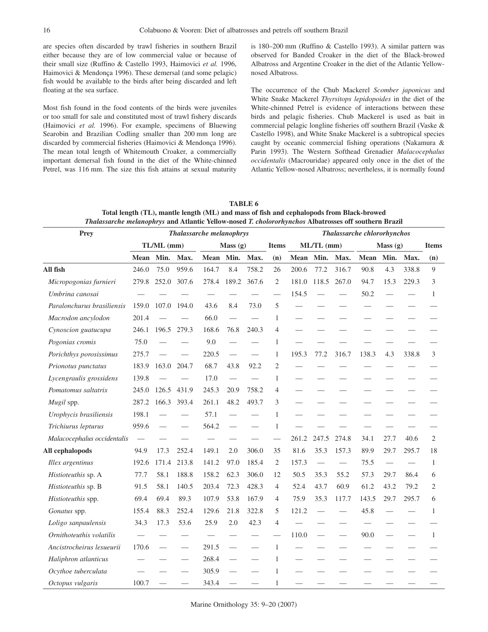are species often discarded by trawl fisheries in southern Brazil either because they are of low commercial value or because of their small size (Ruffino & Castello 1993, Haimovici *et al.* 1996, Haimovici & Mendonça 1996). These demersal (and some pelagic) fish would be available to the birds after being discarded and left floating at the sea surface.

Most fish found in the food contents of the birds were juveniles or too small for sale and constituted most of trawl fishery discards (Haimovici *et al.* 1996). For example, specimens of Bluewing Searobin and Brazilian Codling smaller than 200 mm long are discarded by commercial fisheries (Haimovici & Mendonça 1996). The mean total length of Whitemouth Croaker, a commercially important demersal fish found in the diet of the White-chinned Petrel, was 116 mm. The size this fish attains at sexual maturity is 180–200 mm (Ruffino & Castello 1993). A similar pattern was observed for Banded Croaker in the diet of the Black-browed Albatross and Argentine Croaker in the diet of the Atlantic Yellownosed Albatross.

The occurrence of the Chub Mackerel *Scomber japonicus* and White Snake Mackerel *Thyrsitops lepidopoides* in the diet of the White-chinned Petrel is evidence of interactions between these birds and pelagic fisheries. Chub Mackerel is used as bait in commercial pelagic longline fisheries off southern Brazil (Vaske & Castello 1998), and White Snake Mackerel is a subtropical species caught by oceanic commercial fishing operations (Nakamura & Parin 1993). The Western Softhead Grenadier *Malacocephalus occidentalis* (Macrouridae) appeared only once in the diet of the Atlantic Yellow-nosed Albatross; nevertheless, it is normally found

| Prey<br><b>Thalassarche melanophrys</b> |                          |                          |                          |           |         |       |                | Thalassarche chlororhynchos |              |       |             |                   |       |                |  |
|-----------------------------------------|--------------------------|--------------------------|--------------------------|-----------|---------|-------|----------------|-----------------------------|--------------|-------|-------------|-------------------|-------|----------------|--|
|                                         | TL/ML (mm)               |                          |                          |           | Mass(g) |       | <b>Items</b>   |                             | $ML/TL$ (mm) |       |             | Mass(g)           |       | <b>Items</b>   |  |
|                                         | Mean                     | Min.                     | Max.                     | Mean Min. |         | Max.  | (n)            | Mean                        | Min.         | Max.  | <b>Mean</b> | Min.              | Max.  | (n)            |  |
| All fish                                | 246.0                    | 75.0                     | 959.6                    | 164.7     | 8.4     | 758.2 | 26             | 200.6                       | 77.2         | 316.7 | 90.8        | 4.3               | 338.8 | 9              |  |
| Micropogonias furnieri                  | 279.8                    | 252.0                    | 307.6                    | 278.4     | 189.2   | 367.6 | $\mathfrak{2}$ | 181.0                       | 118.5        | 267.0 | 94.7        | 15.3              | 229.3 | 3              |  |
| Umbrina canosai                         |                          |                          |                          |           |         |       |                | 154.5                       |              |       | 50.2        |                   |       | $\mathbf{1}$   |  |
| Paralonchurus brasiliensis              | 159.0                    | 107.0                    | 194.0                    | 43.6      | 8.4     | 73.0  | 5              |                             |              |       |             |                   |       |                |  |
| Macrodon ancylodon                      | 201.4                    |                          |                          | 66.0      |         |       | $\mathbf{1}$   |                             |              |       |             |                   |       |                |  |
| Cynoscion guatucupa                     | 246.1                    | 196.5                    | 279.3                    | 168.6     | 76.8    | 240.3 | $\overline{4}$ |                             |              |       |             |                   |       |                |  |
| Pogonias cromis                         | 75.0                     |                          |                          | 9.0       |         |       | $\mathbf{1}$   |                             |              |       |             |                   |       |                |  |
| Porichthys porosissimus                 | 275.7                    |                          |                          | 220.5     |         |       | $\mathbf{1}$   | 195.3                       | 77.2         | 316.7 | 138.3       | 4.3               | 338.8 | 3              |  |
| Prionotus punctatus                     | 183.9                    | 163.0                    | 204.7                    | 68.7      | 43.8    | 92.2  | 2              |                             |              |       |             |                   |       |                |  |
| Lycengraulis grossidens                 | 139.8                    |                          |                          | 17.0      |         |       | $\mathbf{1}$   |                             |              |       |             |                   |       |                |  |
| Pomatomus saltatrix                     | 245.0                    | 126.5                    | 431.9                    | 245.3     | 20.9    | 758.2 | 4              |                             |              |       |             |                   |       |                |  |
| Mugil spp.                              | 287.2                    | 166.3                    | 393.4                    | 261.1     | 48.2    | 493.7 | 3              |                             |              |       |             |                   |       |                |  |
| Urophycis brasiliensis                  | 198.1                    |                          | $\qquad \qquad \qquad$   | 57.1      |         |       | $\mathbf{1}$   |                             |              |       |             |                   |       |                |  |
| Trichiurus lepturus                     | 959.6                    |                          |                          | 564.2     |         |       | $\mathbf{1}$   |                             |              |       |             |                   |       |                |  |
| Malacocephalus occidentalis             | $\overline{\phantom{m}}$ |                          |                          |           |         |       |                | 261.2                       | 247.5        | 274.8 | 34.1        | 27.7              | 40.6  | $\mathfrak{2}$ |  |
| All cephalopods                         | 94.9                     | 17.3                     | 252.4                    | 149.1     | 2.0     | 306.0 | 35             | 81.6                        | 35.3         | 157.3 | 89.9        | 29.7              | 295.7 | 18             |  |
| Illex argentinus                        | 192.6                    | 171.4                    | 213.8                    | 141.2     | 97.0    | 185.4 | $\overline{2}$ | 157.3                       |              |       | 75.5        | $\hspace{0.05cm}$ |       | $\mathbf{1}$   |  |
| Histioteuthis sp. A                     | 77.7                     | 58.1                     | 188.8                    | 158.2     | 62.3    | 306.0 | 12             | 50.5                        | 35.3         | 55.2  | 57.3        | 29.7              | 86.4  | 6              |  |
| Histioteuthis sp. B                     | 91.5                     | 58.1                     | 140.5                    | 203.4     | 72.3    | 428.3 | $\overline{4}$ | 52.4                        | 43.7         | 60.9  | 61.2        | 43.2              | 79.2  | $\mathfrak{2}$ |  |
| Histioteuthis spp.                      | 69.4                     | 69.4                     | 89.3                     | 107.9     | 53.8    | 167.9 | $\overline{4}$ | 75.9                        | 35.3         | 117.7 | 143.5       | 29.7              | 295.7 | 6              |  |
| Gonatus spp.                            | 155.4                    | 88.3                     | 252.4                    | 129.6     | 21.8    | 322.8 | 5              | 121.2                       |              |       | 45.8        |                   |       | $\mathbf{1}$   |  |
| Loligo sanpaulensis                     | 34.3                     | 17.3                     | 53.6                     | 25.9      | 2.0     | 42.3  | $\overline{4}$ |                             |              |       |             |                   |       |                |  |
| Ornithoteuthis volatilis                |                          |                          |                          |           |         |       |                | 110.0                       |              |       | 90.0        |                   |       | $\mathbf{1}$   |  |
| Ancistrocheirus lesueurii               | 170.6                    | $\overline{\phantom{0}}$ | $\overline{\phantom{0}}$ | 291.5     |         |       | $\mathbf{1}$   |                             |              |       |             |                   |       |                |  |
| Haliphron atlanticus                    |                          |                          |                          | 268.4     |         |       | 1              |                             |              |       |             |                   |       |                |  |
| Ocythoe tuberculata                     |                          |                          |                          | 305.9     |         |       | 1              |                             |              |       |             |                   |       |                |  |
| Octopus vulgaris                        | 100.7                    |                          |                          | 343.4     |         |       | $\mathbf{1}$   |                             |              |       |             |                   |       |                |  |

**TABLE 6 Total length (TL), mantle length (ML) and mass of fish and cephalopods from Black-browed**  *Thalassarche melanophrys* **and Atlantic Yellow-nosed** *T. cholororhynchos* **Albatrosses off southern Brazil**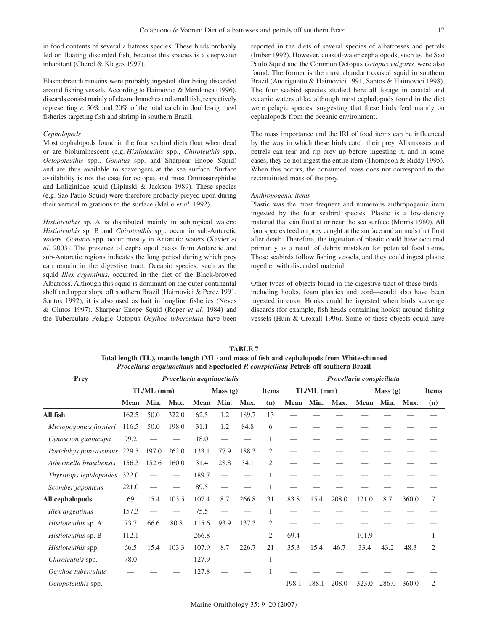in food contents of several albatross species. These birds probably fed on floating discarded fish, because this species is a deepwater inhabitant (Cherel & Klages 1997).

Elasmobranch remains were probably ingested after being discarded around fishing vessels. According to Haimovici & Mendonça (1996), discards consist mainly of elasmobranches and small fish, respectively representing *c.* 50% and 20% of the total catch in double-rig trawl fisheries targeting fish and shrimp in southern Brazil.

#### *Cephalopods*

Most cephalopods found in the four seabird diets float when dead or are bioluminescent (e.g. *Histioteuthis* spp., *Chiroteuthis* spp., *Octopoteuthis* spp., *Gonatus* spp. and Sharpear Enope Squid) and are thus available to scavengers at the sea surface. Surface availability is not the case for octopus and most Ommastrephidae and Loliginidae squid (Lipinski & Jackson 1989). These species (e.g. Sao Paulo Squid) were therefore probably preyed upon during their vertical migrations to the surface (Mello *et al.* 1992).

*Histioteuthis* sp. A is distributed mainly in subtropical waters; *Histioteuthis* sp. B and *Chiroteuthis* spp. occur in sub-Antarctic waters. *Gonatus* spp. occur mostly in Antarctic waters (Xavier *et al.* 2003). The presence of cephalopod beaks from Antarctic and sub-Antarctic regions indicates the long period during which prey can remain in the digestive tract. Oceanic species, such as the squid *Illex argentinus,* occurred in the diet of the Black-browed Albatross. Although this squid is dominant on the outer continental shelf and upper slope off southern Brazil (Haimovici & Perez 1991, Santos 1992), it is also used as bait in longline fisheries (Neves & Olmos 1997). Sharpear Enope Squid (Roper *et al.* 1984) and the Tuberculate Pelagic Octopus *Ocythoe tuberculata* have been reported in the diets of several species of albatrosses and petrels (Imber 1992). However, coastal-water cephalopods, such as the Sao Paulo Squid and the Common Octopus *Octopus vulgaris,* were also found. The former is the most abundant coastal squid in southern Brazil (Andriguetto & Haimovici 1991, Santos & Haimovici 1998). The four seabird species studied here all forage in coastal and oceanic waters alike, although most cephalopods found in the diet were pelagic species, suggesting that these birds feed mainly on cephalopods from the oceanic environment.

The mass importance and the IRI of food items can be influenced by the way in which these birds catch their prey. Albatrosses and petrels can tear and rip prey up before ingesting it, and in some cases, they do not ingest the entire item (Thompson & Riddy 1995). When this occurs, the consumed mass does not correspond to the reconstituted mass of the prey.

#### *Anthropogenic items*

Plastic was the most frequent and numerous anthropogenic item ingested by the four seabird species. Plastic is a low-density material that can float at or near the sea surface (Morris 1980). All four species feed on prey caught at the surface and animals that float after death. Therefore, the ingestion of plastic could have occurred primarily as a result of debris mistaken for potential food items. These seabirds follow fishing vessels, and they could ingest plastic together with discarded material.

Other types of objects found in the digestive tract of these birds including hooks, foam plastics and cord—could also have been ingested in error. Hooks could be ingested when birds scavenge discards (for example, fish heads containing hooks) around fishing vessels (Huin & Croxall 1996). Some of these objects could have

| <b>Prey</b>              |             |              |       | Procellaria aequinoctialis |         |       | Procellaria conspicillata |              |       |       |         |       |       |              |
|--------------------------|-------------|--------------|-------|----------------------------|---------|-------|---------------------------|--------------|-------|-------|---------|-------|-------|--------------|
|                          |             | $TL/ML$ (mm) |       |                            | Mass(g) |       | <b>Items</b>              | $TL/ML$ (mm) |       |       | Mass(g) |       |       | <b>Items</b> |
|                          | <b>Mean</b> | Min.         | Max.  | Mean                       | Min.    | Max.  | (n)                       | Mean         | Min.  | Max.  | Mean    | Min.  | Max.  | (n)          |
| All fish                 | 162.5       | 50.0         | 322.0 | 62.5                       | 1.2     | 189.7 | 13                        |              |       |       |         |       |       |              |
| Micropogonias furnieri   | 116.5       | 50.0         | 198.0 | 31.1                       | 1.2     | 84.8  | 6                         |              |       |       |         |       |       |              |
| Cynoscion guatucupa      | 99.2        |              |       | 18.0                       |         |       | 1                         |              |       |       |         |       |       |              |
| Porichthys porosissimus  | 229.5       | 197.0        | 262.0 | 133.1                      | 77.9    | 188.3 | 2                         |              |       |       |         |       |       |              |
| Atherinella brasiliensis | 156.3       | 152.6        | 160.0 | 31.4                       | 28.8    | 34.1  | 2                         |              |       |       |         |       |       |              |
| Thyrsitops lepidopoides  | 322.0       |              |       | 189.7                      |         |       | 1                         |              |       |       |         |       |       |              |
| Scomber japonicus        | 221.0       |              |       | 89.5                       |         |       | 1                         |              |       |       |         |       |       |              |
| All cephalopods          | 69          | 15.4         | 103.5 | 107.4                      | 8.7     | 266.8 | 31                        | 83.8         | 15.4  | 208.0 | 121.0   | 8.7   | 360.0 | 7            |
| Illex argentinus         | 157.3       |              |       | 75.5                       |         |       | 1                         |              |       |       |         |       |       |              |
| Histioteuthis sp. A      | 73.7        | 66.6         | 80.8  | 115.6                      | 93.9    | 137.3 | 2                         |              |       |       |         |       |       |              |
| Histioteuthis sp. B      | 112.1       |              |       | 266.8                      |         |       | 2                         | 69.4         |       |       | 101.9   |       |       |              |
| Histioteuthis spp.       | 66.5        | 15.4         | 103.3 | 107.9                      | 8.7     | 226.7 | 21                        | 35.3         | 15.4  | 46.7  | 33.4    | 43.2  | 48.3  | 2            |
| Chiroteuthis spp.        | 78.0        |              |       | 127.9                      |         |       |                           |              |       |       |         |       |       |              |
| Ocythoe tuberculata      |             |              |       | 127.8                      |         |       |                           |              |       |       |         |       |       |              |
| Octopoteuthis spp.       |             |              |       |                            |         |       |                           | 198.1        | 188.1 | 208.0 | 323.0   | 286.0 | 360.0 | 2            |

**TABLE 7 Total length (TL), mantle length (ML) and mass of fish and cephalopods from White-chinned**  *Procellaria aequinoctialis* **and Spectacled** *P. conspicillata* **Petrels off southern Brazil**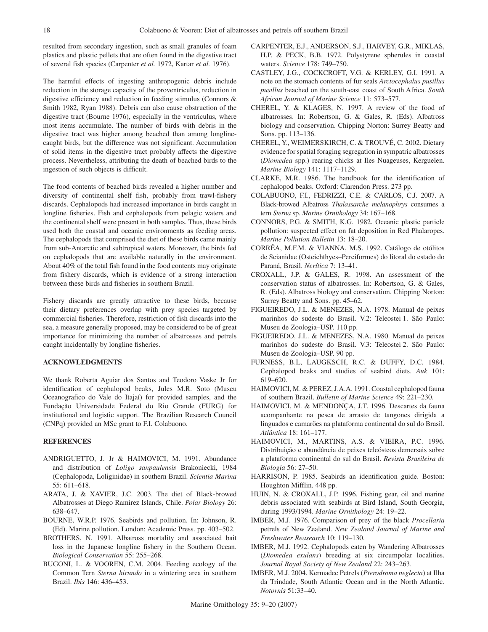resulted from secondary ingestion, such as small granules of foam plastics and plastic pellets that are often found in the digestive tract of several fish species (Carpenter *et al.* 1972, Kartar *et al.* 1976).

The harmful effects of ingesting anthropogenic debris include reduction in the storage capacity of the proventriculus, reduction in digestive efficiency and reduction in feeding stimulus (Connors & Smith 1982, Ryan 1988). Debris can also cause obstruction of the digestive tract (Bourne 1976), especially in the ventriculus, where most items accumulate. The number of birds with debris in the digestive tract was higher among beached than among longlinecaught birds, but the difference was not significant. Accumulation of solid items in the digestive tract probably affects the digestive process. Nevertheless, attributing the death of beached birds to the ingestion of such objects is difficult.

The food contents of beached birds revealed a higher number and diversity of continental shelf fish, probably from trawl-fishery discards. Cephalopods had increased importance in birds caught in longline fisheries. Fish and cephalopods from pelagic waters and the continental shelf were present in both samples. Thus, these birds used both the coastal and oceanic environments as feeding areas. The cephalopods that comprised the diet of these birds came mainly from sub-Antarctic and subtropical waters. Moreover, the birds fed on cephalopods that are available naturally in the environment. About 40% of the total fish found in the food contents may originate from fishery discards, which is evidence of a strong interaction between these birds and fisheries in southern Brazil.

Fishery discards are greatly attractive to these birds, because their dietary preferences overlap with prey species targeted by commercial fisheries. Therefore, restriction of fish discards into the sea, a measure generally proposed, may be considered to be of great importance for minimizing the number of albatrosses and petrels caught incidentally by longline fisheries.

## **ACKNOWLEDGMENTS**

We thank Roberta Aguiar dos Santos and Teodoro Vaske Jr for identification of cephalopod beaks, Jules M.R. Soto (Museu Oceanografico do Vale do Itajaí) for provided samples, and the Fundação Universidade Federal do Rio Grande (FURG) for institutional and logistic support. The Brazilian Research Council (CNPq) provided an MSc grant to F.I. Colabuono.

# **REFERENCES**

- ANDRIGUETTO, J. Jr & HAIMOVICI, M. 1991. Abundance and distribution of *Loligo sanpaulensis* Brakoniecki, 1984 (Cephalopoda, Loliginidae) in southern Brazil. *Scientia Marina* 55: 611–618.
- ARATA, J. & XAVIER, J.C. 2003. The diet of Black-browed Albatrosses at Diego Ramirez Islands, Chile. *Polar Biology* 26: 638–647.
- BOURNE, W.R.P. 1976. Seabirds and pollution. In: Johnson, R. (Ed). Marine pollution. London: Academic Press. pp. 403–502.
- BROTHERS, N. 1991. Albatross mortality and associated bait loss in the Japanese longline fishery in the Southern Ocean. *Biological Conservation* 55: 255–268.
- BUGONI, L. & VOOREN, C.M. 2004. Feeding ecology of the Common Tern *Sterna hirundo* in a wintering area in southern Brazil. *Ibis* 146: 436–453.
- CARPENTER, E.J., ANDERSON, S.J., HARVEY, G.R., MIKLAS, H.P. & PECK, B.B. 1972. Polystyrene spherules in coastal waters. *Science* 178: 749–750.
- CASTLEY, J.G., COCKCROFT, V.G. & KERLEY, G.I. 1991. A note on the stomach contents of fur seals *Arctocephalus pusillus pusillus* beached on the south-east coast of South Africa. *South African Journal of Marine Science* 11: 573–577.
- CHEREL, Y. & KLAGES, N. 1997. A review of the food of albatrosses. In: Robertson, G. & Gales, R. (Eds). Albatross biology and conservation. Chipping Norton: Surrey Beatty and Sons. pp. 113–136.
- CHEREL, Y., WEIMERSKIRCH, C. & TROUVÉ, C. 2002. Dietary evidence for spatial foraging segregation in sympatric albatrosses (*Diomedea* spp.) rearing chicks at Iles Nuageuses, Kerguelen. *Marine Biology* 141: 1117–1129.
- CLARKE, M.R. 1986. The handbook for the identification of cephalopod beaks. Oxford: Clarendon Press. 273 pp.
- COLABUONO, F.I., FEDRIZZI, C.E. & CARLOS, C.J. 2007. A Black-browed Albatross *Thalassarche melanophrys* consumes a tern *Sterna* sp. *Marine Ornithology* 34: 167–168.
- CONNORS, P.G. & SMITH, K.G. 1982. Oceanic plastic particle pollution: suspected effect on fat deposition in Red Phalaropes. *Marine Pollution Bulletin* 13: 18–20.
- CORRÊA, M.F.M. & VIANNA, M.S. 1992. Catálogo de otólitos de Scianidae (Osteichthyes–Perciformes) do litoral do estado do Paraná, Brasil. *Nerítica* 7: 13–41.
- CROXALL, J.P. & GALES, R. 1998. An assessment of the conservation status of albatrosses. In: Robertson, G. & Gales, R. (Eds). Albatross biology and conservation. Chipping Norton: Surrey Beatty and Sons. pp. 45–62.
- FIGUEIREDO, J.L. & MENEZES, N.A. 1978. Manual de peixes marinhos do sudeste do Brasil. V.2: Teleostei 1. São Paulo: Museu de Zoologia–USP. 110 pp.
- FIGUEIREDO, J.L. & MENEZES, N.A. 1980. Manual de peixes marinhos do sudeste do Brasil. V.3: Teleostei 2. São Paulo: Museu de Zoologia–USP. 90 pp.
- FURNESS, B.L, LAUGKSCH, R.C. & DUFFY, D.C. 1984. Cephalopod beaks and studies of seabird diets. *Auk* 101: 619–620.
- HAIMOVICI, M. & PEREZ, J.A.A. 1991. Coastal cephalopod fauna of southern Brazil. *Bulletin of Marine Science* 49: 221–230.
- HAIMOVICI, M. & MENDONÇA, J.T. 1996. Descartes da fauna acompanhante na pesca de arrasto de tangones dirigida a linguados e camarões na plataforma continental do sul do Brasil. *Atlântica* 18: 161–177.
- HAIMOVICI, M., MARTINS, A.S. & VIEIRA, P.C. 1996. Distribuição e abundância de peixes teleósteos demersais sobre a plataforma continental do sul do Brasil. *Revista Brasileira de Biologia* 56: 27–50.
- HARRISON, P. 1985. Seabirds an identification guide. Boston: Houghton Mifflin. 448 pp.
- HUIN, N. & CROXALL, J.P. 1996. Fishing gear, oil and marine debris associated with seabirds at Bird Island, South Georgia, during 1993/1994. *Marine Ornithology* 24: 19–22.
- IMBER, M.J. 1976. Comparison of prey of the black *Procellaria* petrels of New Zealand. *New Zealand Journal of Marine and Freshwater Reasearch* 10: 119–130.
- IMBER, M.J. 1992. Cephalopods eaten by Wandering Albatrosses (*Diomedea exulans*) breeding at six circumpolar localities. *Journal Royal Society of New Zealand* 22: 243–263.
- IMBER, M.J. 2004. Kermadec Petrels (*Pterodroma neglecta*) at Ilha da Trindade, South Atlantic Ocean and in the North Atlantic. *Notornis* 51:33–40.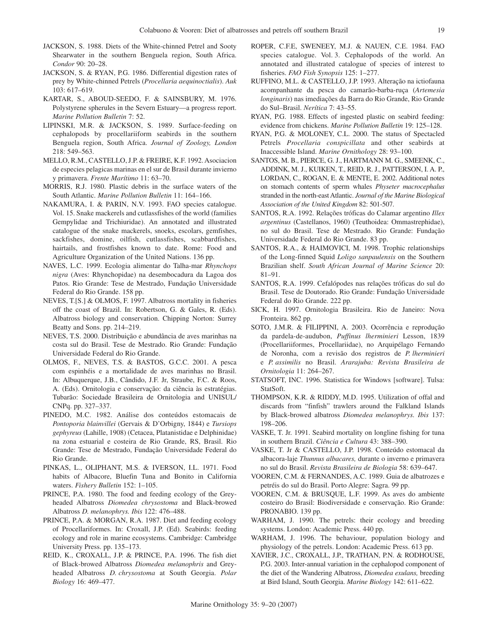JACKSON, S. 1988. Diets of the White-chinned Petrel and Sooty Shearwater in the southern Benguela region, South Africa. *Condor* 90: 20–28.

- JACKSON, S. & RYAN, P.G. 1986. Differential digestion rates of prey by White-chinned Petrels (*Procellaria aequinoctialis*). *Auk* 103: 617–619.
- KARTAR, S., ABOUD-SEEDO, F. & SAINSBURY, M. 1976. Polystyrene spherules in the Severn Estuary—a progress report. *Marine Pollution Bulletin* 7: 52.
- LIPINSKI, M.R. & JACKSON, S. 1989. Surface-feeding on cephalopods by procellariiform seabirds in the southern Benguela region, South Africa. *Journal of Zoology, London* 218: 549–563.
- MELLO, R.M., CASTELLO, J.P. & FREIRE, K.F. 1992. Asociacion de especies pelagicas marinas en el sur de Brasil durante invierno y primavera. *Frente Marítimo* 11: 63–70.
- MORRIS, R.J. 1980. Plastic debris in the surface waters of the South Atlantic. *Marine Pollution Bulletin* 11: 164–166.
- NAKAMURA, I. & PARIN, N.V. 1993. FAO species catalogue. Vol. 15. Snake mackerels and cutlassfishes of the world (families Gempylidae and Trichiuridae). An annotated and illustrated catalogue of the snake mackerels, snoeks, escolars, gemfishes, sackfishes, domine, oilfish, cutlassfishes, scabbardfishes, hairtails, and frostfishes known to date. Rome: Food and Agriculture Organization of the United Nations. 136 pp.
- NAVES, L.C. 1999. Ecologia alimentar do Talha-mar *Rhynchops nigra* (Aves: Rhynchopidae) na desembocadura da Lagoa dos Patos. Rio Grande: Tese de Mestrado, Fundação Universidade Federal do Rio Grande. 158 pp.
- NEVES, T.[S.] & OLMOS, F. 1997. Albatross mortality in fisheries off the coast of Brazil. In: Robertson, G. & Gales, R. (Eds). Albatross biology and conservation. Chipping Norton: Surrey Beatty and Sons. pp. 214–219.
- NEVES, T.S. 2000. Distribuição e abundância de aves marinhas na costa sul do Brasil. Tese de Mestrado. Rio Grande: Fundação Universidade Federal do Rio Grande.
- OLMOS, F., NEVES, T.S. & BASTOS, G.C.C. 2001. A pesca com espinhéis e a mortalidade de aves marinhas no Brasil. In: Albuquerque, J.B., Cândido, J.F. Jr, Straube, F.C. & Roos, A. (Eds). Ornitologia e conservação: da ciência às estratégias. Tubarão: Sociedade Brasileira de Ornitologia and UNISUL/ CNPq. pp. 327–337.
- PINEDO, M.C. 1982. Análise dos conteúdos estomacais de *Pontoporia blainvillei* (Gervais & D'Orbigny, 1844) e *Tursiops gephyreus* (Lahille, 1908) (Cetacea, Platanistidae e Delphinidae) na zona estuarial e costeira de Rio Grande, RS, Brasil. Rio Grande: Tese de Mestrado, Fundação Universidade Federal do Rio Grande.
- PINKAS, L., OLIPHANT, M.S. & IVERSON, I.L. 1971. Food habits of Albacore, Bluefin Tuna and Bonito in California waters. *Fishery Bulletin* 152: 1–105.
- PRINCE, P.A. 1980. The food and feeding ecology of the Greyheaded Albatross *Diomedea chrysostoma* and Black-browed Albatross *D. melanophrys. Ibis* 122: 476–488.
- PRINCE, P.A. & MORGAN, R.A. 1987. Diet and feeding ecology of Procellariformes. In: Croxall, J.P. (Ed). Seabirds: feeding ecology and role in marine ecosystems. Cambridge: Cambridge University Press. pp. 135–173.
- REID, K., CROXALL, J.P. & PRINCE, P.A. 1996. The fish diet of Black-browed Albatross *Diomedea melanophris* and Greyheaded Albatross *D. chrysostoma* at South Georgia. *Polar Biology* 16: 469–477.
- ROPER, C.F.E, SWENEEY, M.J. & NAUEN, C.E. 1984. FAO species catalogue. Vol. 3. Cephalopods of the world. An annotated and illustrated catalogue of species of interest to fisheries. *FAO Fish Synopsis* 125: 1–277.
- RUFFINO, M.L. & CASTELLO, J.P. 1993. Alteração na ictiofauna acompanhante da pesca do camarão-barba-ruça (*Artemesia longinaris*) nas imediações da Barra do Rio Grande, Rio Grande do Sul–Brasil. *Nerítica* 7: 43–55.
- RYAN, P.G. 1988. Effects of ingested plastic on seabird feeding: evidence from chickens. *Marine Pollution Bulletin* 19: 125–128.
- RYAN, P.G. & MOLONEY, C.L. 2000. The status of Spectacled Petrels *Procellaria conspicillata* and other seabirds at Inaccessible Island. *Marine Ornithology* 28: 93–100.
- SANTOS, M. B., PIERCE, G. J., HARTMANN M. G., SMEENK, C., ADDINK, M. J., KUIKEN, T., REID, R. J., PATTERSON, I. A. P., LORDAN, C., ROGAN, E. & MENTE, E. 2002. Additional notes on stomach contents of sperm whales *Physeter macrocephalus* stranded in the north-east Atlantic. *Journal of the Marine Biological Association of the United Kingdom* 82: 501-507.
- SANTOS, R.A. 1992. Relações tróficas do Calamar argentino *Illex argentinus* (Castellanos, 1960) (Teuthoidea: Ommastrephidae), no sul do Brasil. Tese de Mestrado. Rio Grande: Fundação Universidade Federal do Rio Grande. 83 pp.
- SANTOS, R.A., & HAIMOVICI, M. 1998. Trophic relationships of the Long-finned Squid *Loligo sanpaulensis* on the Southern Brazilian shelf. *South African Journal of Marine Science* 20: 81–91.
- SANTOS, R.A. 1999. Cefalópodes nas relações tróficas do sul do Brasil. Tese de Doutorado. Rio Grande: Fundação Universidade Federal do Rio Grande. 222 pp.
- SICK, H. 1997. Ornitologia Brasileira. Rio de Janeiro: Nova Fronteira. 862 pp.
- SOTO, J.M.R. & FILIPPINI, A. 2003. Ocorrência e reprodução da pardela-de-audubon, *Puffinus lherminieri* Lesson, 1839 (Procellariiformes, Procellariidae), no Arquipélago Fernando de Noronha, com a revisão dos registros de *P. lherminieri* e *P. assimilis* no Brasil. *Ararajuba: Revista Brasileira de Ornitologia* 11: 264–267.
- STATSOFT, INC. 1996. Statistica for Windows [software]. Tulsa: StatSoft.
- THOMPSON, K.R. & RIDDY, M.D. 1995. Utilization of offal and discards from "finfish" trawlers around the Falkland Islands by Black-browed albatross *Diomedea melanophrys. Ibis* 137: 198–206.
- VASKE, T. Jr. 1991. Seabird mortality on longline fishing for tuna in southern Brazil. *Ciência e Cultura* 43: 388–390.
- VASKE, T. Jr & CASTELLO, J.P. 1998. Conteúdo estomacal da albacora-laje *Thunnus albacares,* durante o inverno e primavera no sul do Brasil. *Revista Brasileira de Biologia* 58: 639–647.
- VOOREN, C.M. & FERNANDES, A.C. 1989. Guia de albatrozes e petréis do sul do Brasil. Porto Alegre: Sagra. 99 pp.
- VOOREN, C.M. & BRUSQUE, L.F. 1999. As aves do ambiente costeiro do Brasil: Biodiversidade e conservação. Rio Grande: PRONABIO. 139 pp.
- WARHAM, J. 1990. The petrels: their ecology and breeding systems. London: Academic Press. 440 pp.
- WARHAM, J. 1996. The behaviour, population biology and physiology of the petrels. London: Academic Press. 613 pp.
- XAVIER, J.C., CROXALL, J.P., TRATHAN, P.N. & RODHOUSE, P.G. 2003. Inter-annual variation in the cephalopod component of the diet of the Wandering Albatross, *Diomedea exulans,* breeding at Bird Island, South Georgia. *Marine Biology* 142: 611–622.